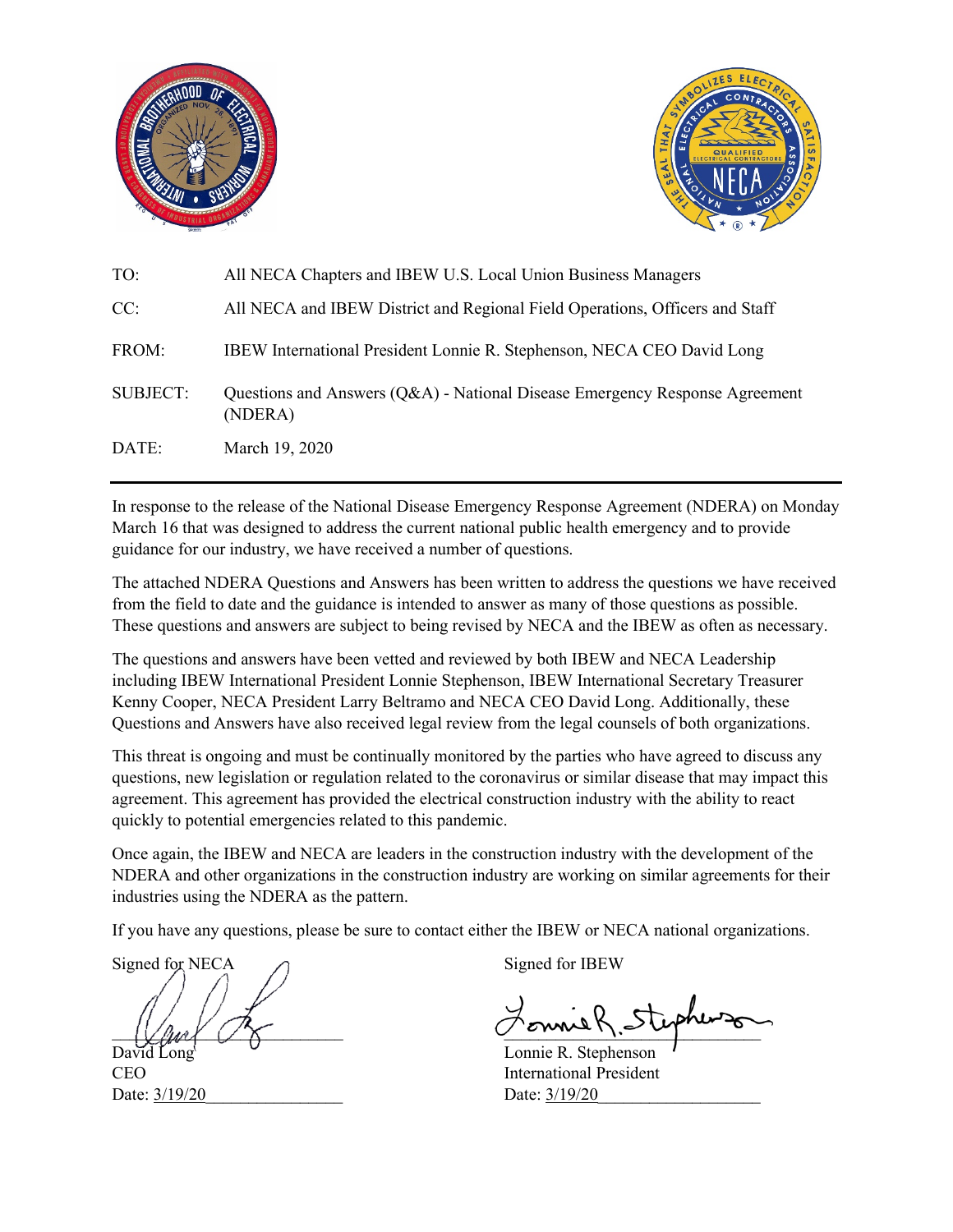



| TO:      | All NECA Chapters and IBEW U.S. Local Union Business Managers                          |
|----------|----------------------------------------------------------------------------------------|
| CC:      | All NECA and IBEW District and Regional Field Operations, Officers and Staff           |
| FROM:    | IBEW International President Lonnie R. Stephenson, NECA CEO David Long                 |
| SUBJECT: | Questions and Answers (Q&A) - National Disease Emergency Response Agreement<br>(NDERA) |
| DATE:    | March 19, 2020                                                                         |

In response to the release of the National Disease Emergency Response Agreement (NDERA) on Monday March 16 that was designed to address the current national public health emergency and to provide guidance for our industry, we have received a number of questions.

The attached NDERA Questions and Answers has been written to address the questions we have received from the field to date and the guidance is intended to answer as many of those questions as possible. These questions and answers are subject to being revised by NECA and the IBEW as often as necessary.

The questions and answers have been vetted and reviewed by both IBEW and NECA Leadership including IBEW International President Lonnie Stephenson, IBEW International Secretary Treasurer Kenny Cooper, NECA President Larry Beltramo and NECA CEO David Long. Additionally, these Questions and Answers have also received legal review from the legal counsels of both organizations.

This threat is ongoing and must be continually monitored by the parties who have agreed to discuss any questions, new legislation or regulation related to the coronavirus or similar disease that may impact this agreement. This agreement has provided the electrical construction industry with the ability to react quickly to potential emergencies related to this pandemic.

Once again, the IBEW and NECA are leaders in the construction industry with the development of the NDERA and other organizations in the construction industry are working on similar agreements for their industries using the NDERA as the pattern.

If you have any questions, please be sure to contact either the IBEW or NECA national organizations.

Signed for NECA  $\bigcap$  Signed for IBEW

Date:  $\frac{3}{19/20}$  Date:  $\frac{3}{19/20}$ 

 $\mathcal{L}$  and  $\mathcal{L}$  and  $\mathcal{L}$ 

David Long Lonnie R. Stephenson CEO International President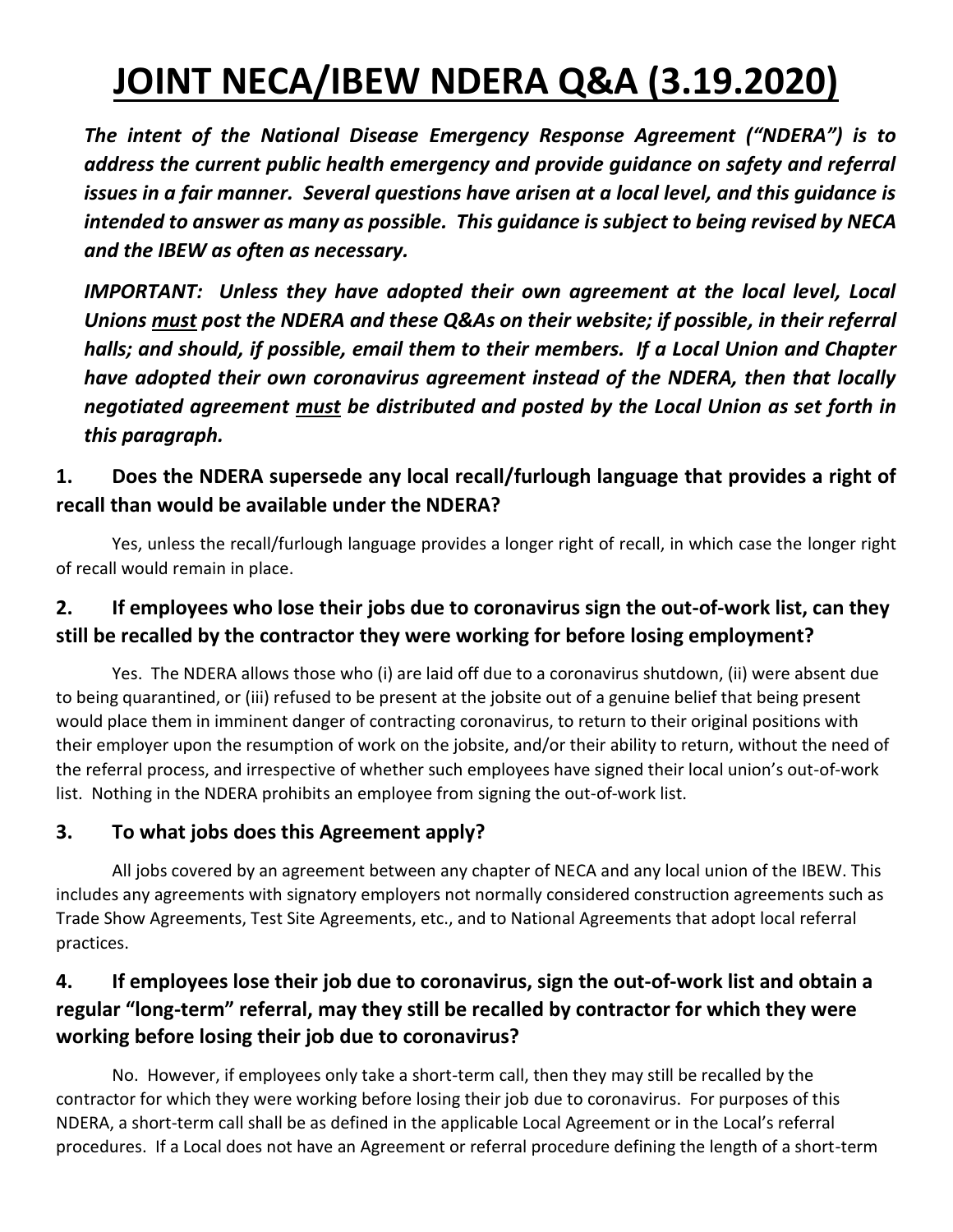# **JOINT NECA/IBEW NDERA Q&A (3.19.2020)**

*The intent of the National Disease Emergency Response Agreement ("NDERA") is to address the current public health emergency and provide guidance on safety and referral issues in a fair manner. Several questions have arisen at a local level, and this guidance is intended to answer as many as possible. This guidance is subject to being revised by NECA and the IBEW as often as necessary.* 

*IMPORTANT: Unless they have adopted their own agreement at the local level, Local Unions must post the NDERA and these Q&As on their website; if possible, in their referral halls; and should, if possible, email them to their members. If a Local Union and Chapter have adopted their own coronavirus agreement instead of the NDERA, then that locally negotiated agreement must be distributed and posted by the Local Union as set forth in this paragraph.* 

# **1. Does the NDERA supersede any local recall/furlough language that provides a right of recall than would be available under the NDERA?**

Yes, unless the recall/furlough language provides a longer right of recall, in which case the longer right of recall would remain in place.

## **2. If employees who lose their jobs due to coronavirus sign the out-of-work list, can they still be recalled by the contractor they were working for before losing employment?**

Yes. The NDERA allows those who (i) are laid off due to a coronavirus shutdown, (ii) were absent due to being quarantined, or (iii) refused to be present at the jobsite out of a genuine belief that being present would place them in imminent danger of contracting coronavirus, to return to their original positions with their employer upon the resumption of work on the jobsite, and/or their ability to return, without the need of the referral process, and irrespective of whether such employees have signed their local union's out-of-work list. Nothing in the NDERA prohibits an employee from signing the out-of-work list.

#### **3. To what jobs does this Agreement apply?**

All jobs covered by an agreement between any chapter of NECA and any local union of the IBEW. This includes any agreements with signatory employers not normally considered construction agreements such as Trade Show Agreements, Test Site Agreements, etc., and to National Agreements that adopt local referral practices.

# **4. If employees lose their job due to coronavirus, sign the out-of-work list and obtain a regular "long-term" referral, may they still be recalled by contractor for which they were working before losing their job due to coronavirus?**

No. However, if employees only take a short-term call, then they may still be recalled by the contractor for which they were working before losing their job due to coronavirus. For purposes of this NDERA, a short-term call shall be as defined in the applicable Local Agreement or in the Local's referral procedures. If a Local does not have an Agreement or referral procedure defining the length of a short-term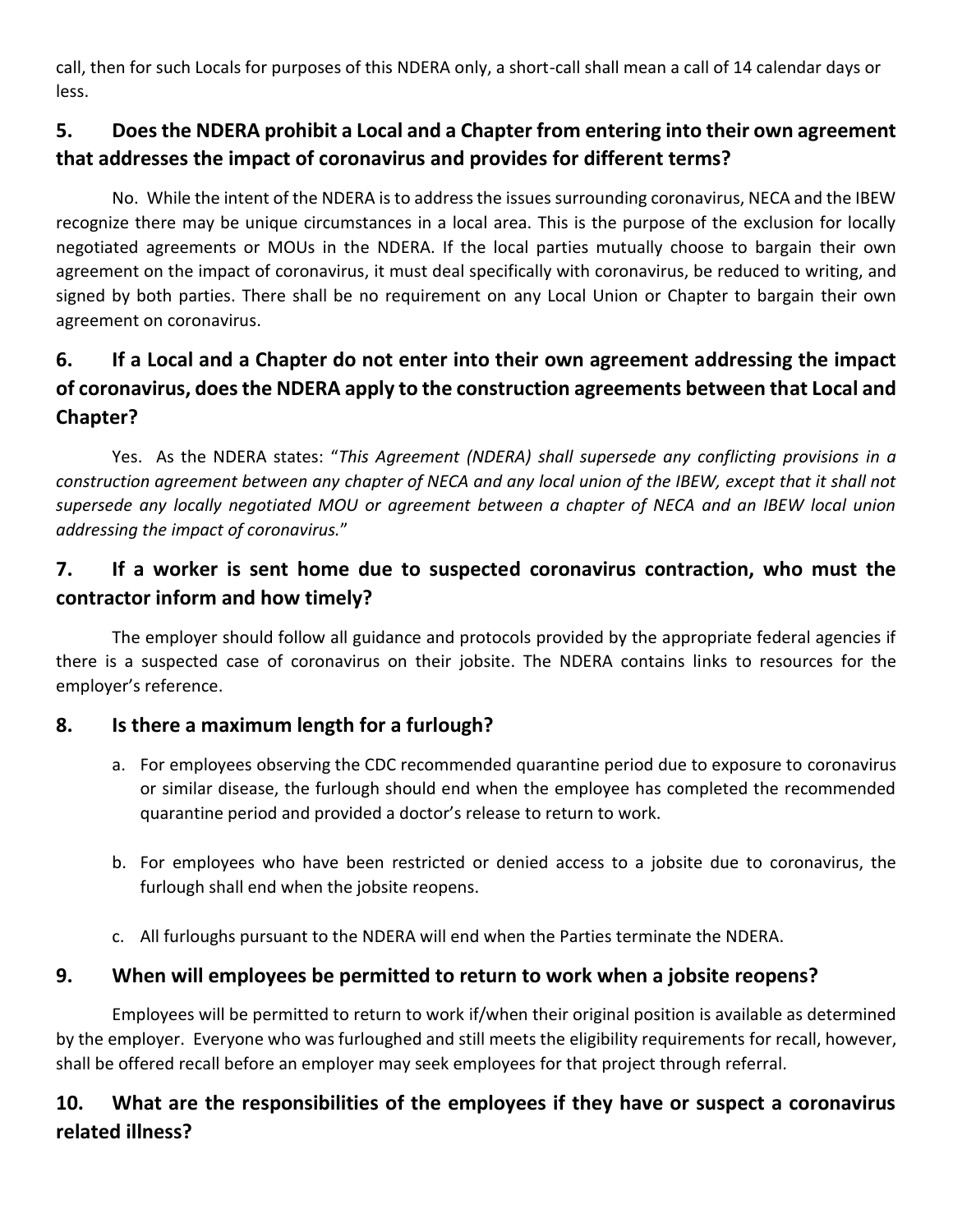call, then for such Locals for purposes of this NDERA only, a short-call shall mean a call of 14 calendar days or less.

# **5. Does the NDERA prohibit a Local and a Chapter from entering into their own agreement that addresses the impact of coronavirus and provides for different terms?**

No. While the intent of the NDERA is to address the issues surrounding coronavirus, NECA and the IBEW recognize there may be unique circumstances in a local area. This is the purpose of the exclusion for locally negotiated agreements or MOUs in the NDERA. If the local parties mutually choose to bargain their own agreement on the impact of coronavirus, it must deal specifically with coronavirus, be reduced to writing, and signed by both parties. There shall be no requirement on any Local Union or Chapter to bargain their own agreement on coronavirus.

# **6. If a Local and a Chapter do not enter into their own agreement addressing the impact of coronavirus, does the NDERA apply to the construction agreements between that Local and Chapter?**

Yes. As the NDERA states: "*This Agreement (NDERA) shall supersede any conflicting provisions in a construction agreement between any chapter of NECA and any local union of the IBEW, except that it shall not supersede any locally negotiated MOU or agreement between a chapter of NECA and an IBEW local union addressing the impact of coronavirus.*"

## **7. If a worker is sent home due to suspected coronavirus contraction, who must the contractor inform and how timely?**

The employer should follow all guidance and protocols provided by the appropriate federal agencies if there is a suspected case of coronavirus on their jobsite. The NDERA contains links to resources for the employer's reference.

#### **8. Is there a maximum length for a furlough?**

- a. For employees observing the CDC recommended quarantine period due to exposure to coronavirus or similar disease, the furlough should end when the employee has completed the recommended quarantine period and provided a doctor's release to return to work.
- b. For employees who have been restricted or denied access to a jobsite due to coronavirus, the furlough shall end when the jobsite reopens.
- c. All furloughs pursuant to the NDERA will end when the Parties terminate the NDERA.

#### **9. When will employees be permitted to return to work when a jobsite reopens?**

Employees will be permitted to return to work if/when their original position is available as determined by the employer. Everyone who was furloughed and still meets the eligibility requirements for recall, however, shall be offered recall before an employer may seek employees for that project through referral.

# **10. What are the responsibilities of the employees if they have or suspect a coronavirus related illness?**